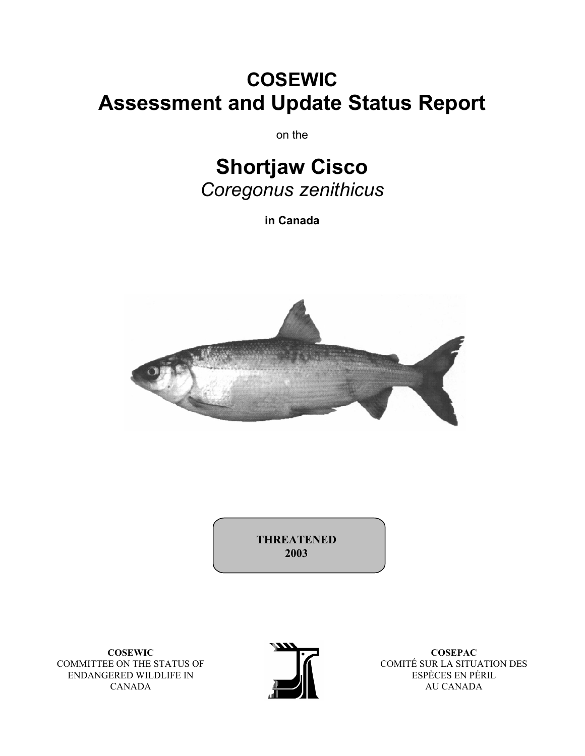# **COSEWIC Assessment and Update Status Report**

on the

# **Shortjaw Cisco**  *Coregonus zenithicus*

**in Canada** 



**THREATENED 2003**

**COSEWIC**  COMMITTEE ON THE STATUS OF ENDANGERED WILDLIFE IN CANADA



**COSEPAC**  COMITÉ SUR LA SITUATION DES ESPÈCES EN PÉRIL AU CANADA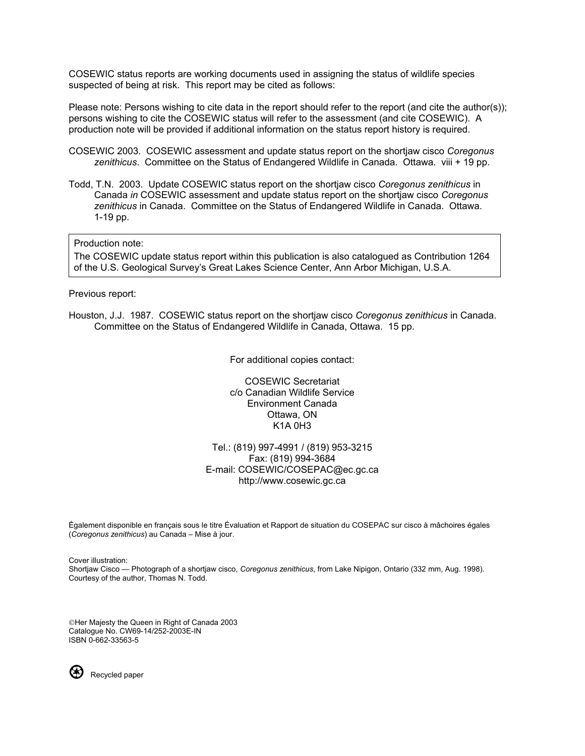COSEWIC status reports are working documents used in assigning the status of wildlife species suspected of being at risk. This report may be cited as follows:

Please note: Persons wishing to cite data in the report should refer to the report (and cite the author(s)); persons wishing to cite the COSEWIC status will refer to the assessment (and cite COSEWIC). A production note will be provided if additional information on the status report history is required.

- COSEWIC 2003. COSEWIC assessment and update status report on the shortjaw cisco *Coregonus zenithicus*. Committee on the Status of Endangered Wildlife in Canada. Ottawa. viii + 19 pp.
- Todd, T.N. 2003. Update COSEWIC status report on the shortjaw cisco *Coregonus zenithicus* in Canada *in* COSEWIC assessment and update status report on the shortjaw cisco *Coregonus zenithicus* in Canada. Committee on the Status of Endangered Wildlife in Canada. Ottawa. 1-19 pp.

#### Production note:

The COSEWIC update status report within this publication is also catalogued as Contribution 1264 of the U.S. Geological Survey's Great Lakes Science Center, Ann Arbor Michigan, U.S.A.

#### Previous report:

Houston, J.J. 1987. COSEWIC status report on the shortjaw cisco *Coregonus zenithicus* in Canada. Committee on the Status of Endangered Wildlife in Canada, Ottawa. 15 pp.

For additional copies contact:

COSEWIC Secretariat c/o Canadian Wildlife Service Environment Canada Ottawa, ON K1A 0H3

Tel.: (819) 997-4991 / (819) 953-3215 Fax: (819) 994-3684 E-mail: COSEWIC/COSEPAC@ec.gc.ca http://www.cosewic.gc.ca

Ếgalement disponible en français sous le titre Évaluation et Rapport de situation du COSEPAC sur cisco à mâchoires égales (*Coregonus zenithicus*) au Canada – Mise à jour.

Cover illustration: Shortjaw Cisco — Photograph of a shortjaw cisco, *Coregonus zenithicus*, from Lake Nipigon, Ontario (332 mm, Aug. 1998). Courtesy of the author, Thomas N. Todd.

Her Majesty the Queen in Right of Canada 2003 Catalogue No. CW69-14/252-2003E-IN ISBN 0-662-33563-5



Recycled paper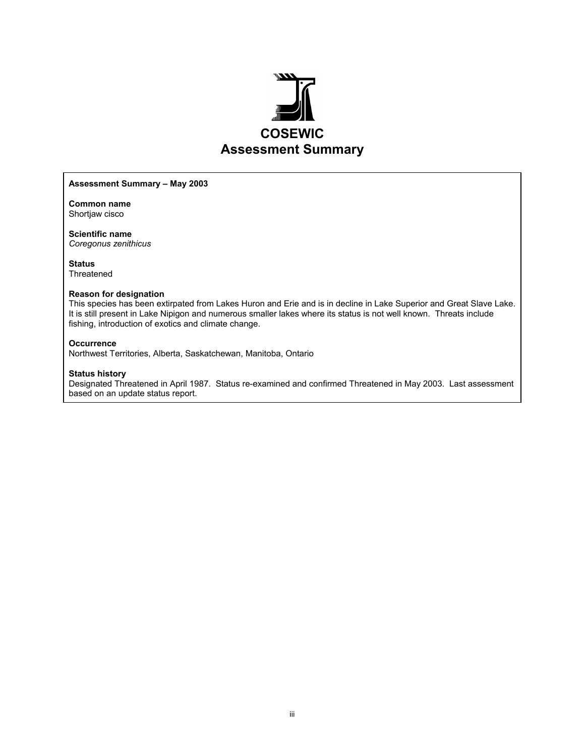

#### **Assessment Summary – May 2003**

**Common name**  Shortjaw cisco

**Scientific name**  *Coregonus zenithicus* 

**Status**  Threatened

#### **Reason for designation**

This species has been extirpated from Lakes Huron and Erie and is in decline in Lake Superior and Great Slave Lake. It is still present in Lake Nipigon and numerous smaller lakes where its status is not well known. Threats include fishing, introduction of exotics and climate change.

#### **Occurrence**

Northwest Territories, Alberta, Saskatchewan, Manitoba, Ontario

#### **Status history**

Designated Threatened in April 1987. Status re-examined and confirmed Threatened in May 2003. Last assessment based on an update status report.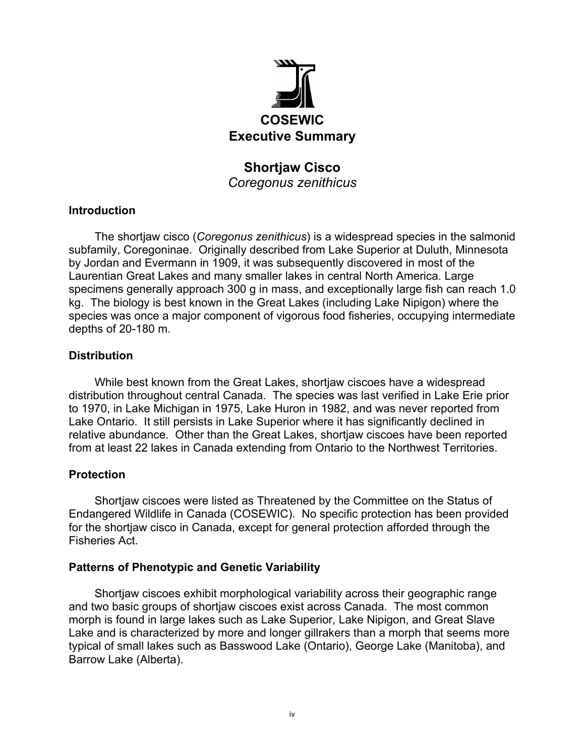

## **Shortjaw Cisco**  *Coregonus zenithicus*

#### **Introduction**

The shortjaw cisco (*Coregonus zenithicus*) is a widespread species in the salmonid subfamily, Coregoninae. Originally described from Lake Superior at Duluth, Minnesota by Jordan and Evermann in 1909, it was subsequently discovered in most of the Laurentian Great Lakes and many smaller lakes in central North America. Large specimens generally approach 300 g in mass, and exceptionally large fish can reach 1.0 kg. The biology is best known in the Great Lakes (including Lake Nipigon) where the species was once a major component of vigorous food fisheries, occupying intermediate depths of 20-180 m.

#### **Distribution**

While best known from the Great Lakes, shortjaw ciscoes have a widespread distribution throughout central Canada. The species was last verified in Lake Erie prior to 1970, in Lake Michigan in 1975, Lake Huron in 1982, and was never reported from Lake Ontario. It still persists in Lake Superior where it has significantly declined in relative abundance. Other than the Great Lakes, shortjaw ciscoes have been reported from at least 22 lakes in Canada extending from Ontario to the Northwest Territories.

#### **Protection**

Shortjaw ciscoes were listed as Threatened by the Committee on the Status of Endangered Wildlife in Canada (COSEWIC). No specific protection has been provided for the shortjaw cisco in Canada, except for general protection afforded through the Fisheries Act.

#### **Patterns of Phenotypic and Genetic Variability**

Shortjaw ciscoes exhibit morphological variability across their geographic range and two basic groups of shortjaw ciscoes exist across Canada. The most common morph is found in large lakes such as Lake Superior, Lake Nipigon, and Great Slave Lake and is characterized by more and longer gillrakers than a morph that seems more typical of small lakes such as Basswood Lake (Ontario), George Lake (Manitoba), and Barrow Lake (Alberta).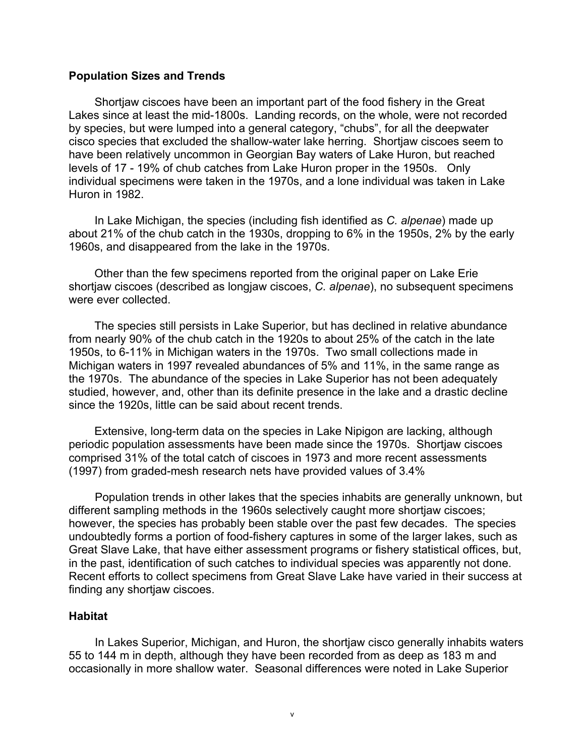#### **Population Sizes and Trends**

Shortjaw ciscoes have been an important part of the food fishery in the Great Lakes since at least the mid-1800s. Landing records, on the whole, were not recorded by species, but were lumped into a general category, "chubs", for all the deepwater cisco species that excluded the shallow-water lake herring. Shortjaw ciscoes seem to have been relatively uncommon in Georgian Bay waters of Lake Huron, but reached levels of 17 - 19% of chub catches from Lake Huron proper in the 1950s. Only individual specimens were taken in the 1970s, and a lone individual was taken in Lake Huron in 1982.

In Lake Michigan, the species (including fish identified as *C. alpenae*) made up about 21% of the chub catch in the 1930s, dropping to 6% in the 1950s, 2% by the early 1960s, and disappeared from the lake in the 1970s.

Other than the few specimens reported from the original paper on Lake Erie shortjaw ciscoes (described as longjaw ciscoes, *C. alpenae*), no subsequent specimens were ever collected.

The species still persists in Lake Superior, but has declined in relative abundance from nearly 90% of the chub catch in the 1920s to about 25% of the catch in the late 1950s, to 6-11% in Michigan waters in the 1970s. Two small collections made in Michigan waters in 1997 revealed abundances of 5% and 11%, in the same range as the 1970s. The abundance of the species in Lake Superior has not been adequately studied, however, and, other than its definite presence in the lake and a drastic decline since the 1920s, little can be said about recent trends.

Extensive, long-term data on the species in Lake Nipigon are lacking, although periodic population assessments have been made since the 1970s. Shortjaw ciscoes comprised 31% of the total catch of ciscoes in 1973 and more recent assessments (1997) from graded-mesh research nets have provided values of 3.4%

Population trends in other lakes that the species inhabits are generally unknown, but different sampling methods in the 1960s selectively caught more shortjaw ciscoes; however, the species has probably been stable over the past few decades. The species undoubtedly forms a portion of food-fishery captures in some of the larger lakes, such as Great Slave Lake, that have either assessment programs or fishery statistical offices, but, in the past, identification of such catches to individual species was apparently not done. Recent efforts to collect specimens from Great Slave Lake have varied in their success at finding any shortjaw ciscoes.

#### **Habitat**

In Lakes Superior, Michigan, and Huron, the shortjaw cisco generally inhabits waters 55 to 144 m in depth, although they have been recorded from as deep as 183 m and occasionally in more shallow water. Seasonal differences were noted in Lake Superior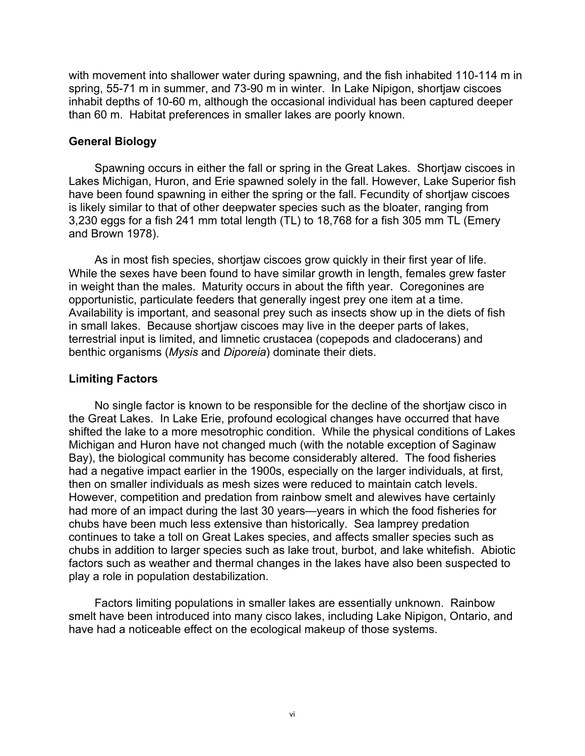with movement into shallower water during spawning, and the fish inhabited 110-114 m in spring, 55-71 m in summer, and 73-90 m in winter. In Lake Nipigon, shortjaw ciscoes inhabit depths of 10-60 m, although the occasional individual has been captured deeper than 60 m. Habitat preferences in smaller lakes are poorly known.

#### **General Biology**

Spawning occurs in either the fall or spring in the Great Lakes. Shortjaw ciscoes in Lakes Michigan, Huron, and Erie spawned solely in the fall. However, Lake Superior fish have been found spawning in either the spring or the fall. Fecundity of shortjaw ciscoes is likely similar to that of other deepwater species such as the bloater, ranging from 3,230 eggs for a fish 241 mm total length (TL) to 18,768 for a fish 305 mm TL (Emery and Brown 1978).

As in most fish species, shortjaw ciscoes grow quickly in their first year of life. While the sexes have been found to have similar growth in length, females grew faster in weight than the males. Maturity occurs in about the fifth year. Coregonines are opportunistic, particulate feeders that generally ingest prey one item at a time. Availability is important, and seasonal prey such as insects show up in the diets of fish in small lakes. Because shortjaw ciscoes may live in the deeper parts of lakes, terrestrial input is limited, and limnetic crustacea (copepods and cladocerans) and benthic organisms (*Mysis* and *Diporeia*) dominate their diets.

#### **Limiting Factors**

No single factor is known to be responsible for the decline of the shortjaw cisco in the Great Lakes. In Lake Erie, profound ecological changes have occurred that have shifted the lake to a more mesotrophic condition. While the physical conditions of Lakes Michigan and Huron have not changed much (with the notable exception of Saginaw Bay), the biological community has become considerably altered. The food fisheries had a negative impact earlier in the 1900s, especially on the larger individuals, at first, then on smaller individuals as mesh sizes were reduced to maintain catch levels. However, competition and predation from rainbow smelt and alewives have certainly had more of an impact during the last 30 years—years in which the food fisheries for chubs have been much less extensive than historically. Sea lamprey predation continues to take a toll on Great Lakes species, and affects smaller species such as chubs in addition to larger species such as lake trout, burbot, and lake whitefish. Abiotic factors such as weather and thermal changes in the lakes have also been suspected to play a role in population destabilization.

Factors limiting populations in smaller lakes are essentially unknown. Rainbow smelt have been introduced into many cisco lakes, including Lake Nipigon, Ontario, and have had a noticeable effect on the ecological makeup of those systems.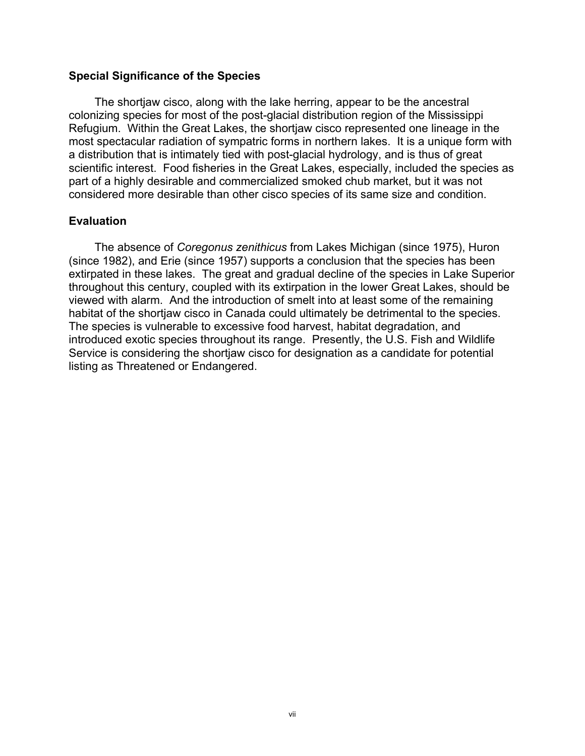#### **Special Significance of the Species**

The shortjaw cisco, along with the lake herring, appear to be the ancestral colonizing species for most of the post-glacial distribution region of the Mississippi Refugium. Within the Great Lakes, the shortjaw cisco represented one lineage in the most spectacular radiation of sympatric forms in northern lakes. It is a unique form with a distribution that is intimately tied with post-glacial hydrology, and is thus of great scientific interest. Food fisheries in the Great Lakes, especially, included the species as part of a highly desirable and commercialized smoked chub market, but it was not considered more desirable than other cisco species of its same size and condition.

#### **Evaluation**

The absence of *Coregonus zenithicus* from Lakes Michigan (since 1975), Huron (since 1982), and Erie (since 1957) supports a conclusion that the species has been extirpated in these lakes. The great and gradual decline of the species in Lake Superior throughout this century, coupled with its extirpation in the lower Great Lakes, should be viewed with alarm. And the introduction of smelt into at least some of the remaining habitat of the shortjaw cisco in Canada could ultimately be detrimental to the species. The species is vulnerable to excessive food harvest, habitat degradation, and introduced exotic species throughout its range. Presently, the U.S. Fish and Wildlife Service is considering the shortjaw cisco for designation as a candidate for potential listing as Threatened or Endangered.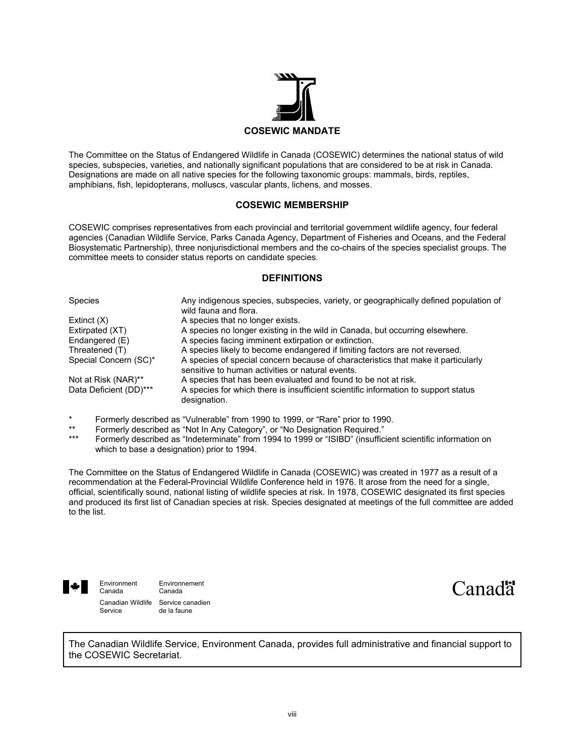

The Committee on the Status of Endangered Wildlife in Canada (COSEWIC) determines the national status of wild species, subspecies, varieties, and nationally significant populations that are considered to be at risk in Canada. Designations are made on all native species for the following taxonomic groups: mammals, birds, reptiles, amphibians, fish, lepidopterans, molluscs, vascular plants, lichens, and mosses.

#### **COSEWIC MEMBERSHIP**

COSEWIC comprises representatives from each provincial and territorial government wildlife agency, four federal agencies (Canadian Wildlife Service, Parks Canada Agency, Department of Fisheries and Oceans, and the Federal Biosystematic Partnership), three nonjurisdictional members and the co-chairs of the species specialist groups. The committee meets to consider status reports on candidate species.

#### **DEFINITIONS**

| <b>Species</b>         | Any indigenous species, subspecies, variety, or geographically defined population of<br>wild fauna and flora.                         |
|------------------------|---------------------------------------------------------------------------------------------------------------------------------------|
| Extinct $(X)$          | A species that no longer exists.                                                                                                      |
| Extirpated (XT)        | A species no longer existing in the wild in Canada, but occurring elsewhere.                                                          |
| Endangered (E)         | A species facing imminent extirpation or extinction.                                                                                  |
| Threatened (T)         | A species likely to become endangered if limiting factors are not reversed.                                                           |
| Special Concern (SC)*  | A species of special concern because of characteristics that make it particularly<br>sensitive to human activities or natural events. |
| Not at Risk (NAR)**    | A species that has been evaluated and found to be not at risk.                                                                        |
| Data Deficient (DD)*** | A species for which there is insufficient scientific information to support status<br>designation.                                    |

- \* Formerly described as "Vulnerable" from 1990 to 1999, or "Rare" prior to 1990.
- \*\* Formerly described as "Not In Any Category", or "No Designation Required."<br>\*\*\* Fermerly described as "Indeterminate" from 1994 to 1999 as "ISIBD" (insuffici
- Formerly described as "Indeterminate" from 1994 to 1999 or "ISIBD" (insufficient scientific information on which to base a designation) prior to 1994.

The Committee on the Status of Endangered Wildlife in Canada (COSEWIC) was created in 1977 as a result of a recommendation at the Federal-Provincial Wildlife Conference held in 1976. It arose from the need for a single, official, scientifically sound, national listing of wildlife species at risk. In 1978, COSEWIC designated its first species and produced its first list of Canadian species at risk. Species designated at meetings of the full committee are added to the list.



Environment Environnement<br>Canada Canada Canada Canadian Wildlife Service canadien<br>Service de la faune de la faune

Canad<sup>"</sup>

The Canadian Wildlife Service, Environment Canada, provides full administrative and financial support to the COSEWIC Secretariat.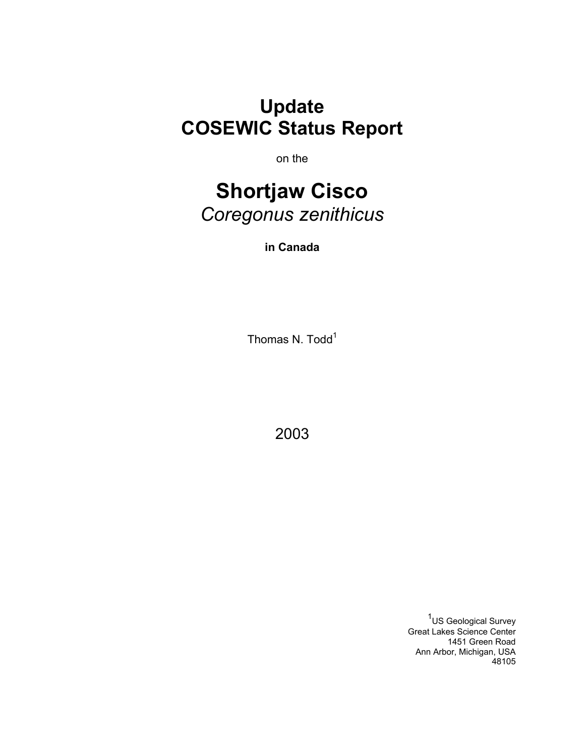**Update COSEWIC Status Report**

on the

# **Shortjaw Cisco**  *Coregonus zenithicus*

**in Canada** 

Thomas N. Todd<sup>1</sup>

2003

<sup>1</sup>US Geological Survey Great Lakes Science Center 1451 Green Road Ann Arbor, Michigan, USA 48105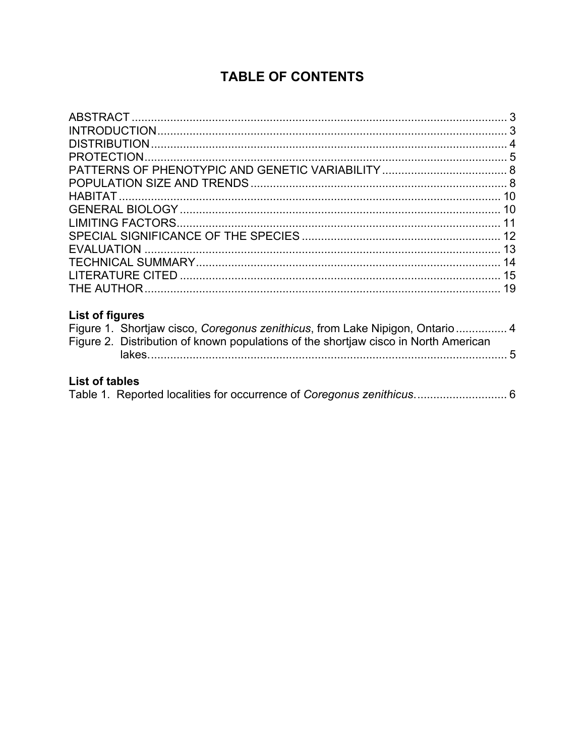# **TABLE OF CONTENTS**

| 15 |
|----|
|    |
|    |

## **List of figures**

| Figure 1. Shortjaw cisco, Coregonus zenithicus, from Lake Nipigon, Ontario  4       |
|-------------------------------------------------------------------------------------|
| Figure 2. Distribution of known populations of the shortjaw cisco in North American |
|                                                                                     |

## **List of tables**

|  |  |  |  | Table 1. Reported localities for occurrence of Coregonus zenithicus 6 |  |
|--|--|--|--|-----------------------------------------------------------------------|--|
|--|--|--|--|-----------------------------------------------------------------------|--|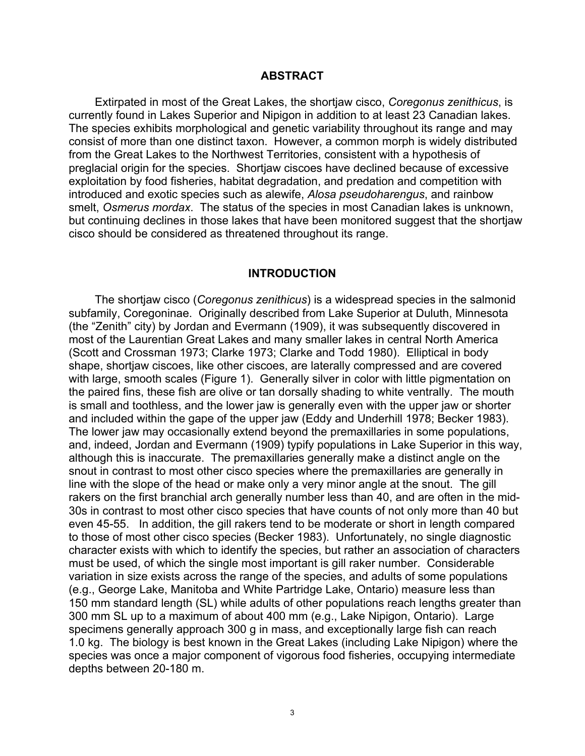#### **ABSTRACT**

Extirpated in most of the Great Lakes, the shortjaw cisco, *Coregonus zenithicus*, is currently found in Lakes Superior and Nipigon in addition to at least 23 Canadian lakes. The species exhibits morphological and genetic variability throughout its range and may consist of more than one distinct taxon. However, a common morph is widely distributed from the Great Lakes to the Northwest Territories, consistent with a hypothesis of preglacial origin for the species. Shortjaw ciscoes have declined because of excessive exploitation by food fisheries, habitat degradation, and predation and competition with introduced and exotic species such as alewife, *Alosa pseudoharengus*, and rainbow smelt, *Osmerus mordax*. The status of the species in most Canadian lakes is unknown, but continuing declines in those lakes that have been monitored suggest that the shortjaw cisco should be considered as threatened throughout its range.

#### **INTRODUCTION**

The shortjaw cisco (*Coregonus zenithicus*) is a widespread species in the salmonid subfamily, Coregoninae. Originally described from Lake Superior at Duluth, Minnesota (the "Zenith" city) by Jordan and Evermann (1909), it was subsequently discovered in most of the Laurentian Great Lakes and many smaller lakes in central North America (Scott and Crossman 1973; Clarke 1973; Clarke and Todd 1980). Elliptical in body shape, shortjaw ciscoes, like other ciscoes, are laterally compressed and are covered with large, smooth scales (Figure 1). Generally silver in color with little pigmentation on the paired fins, these fish are olive or tan dorsally shading to white ventrally. The mouth is small and toothless, and the lower jaw is generally even with the upper jaw or shorter and included within the gape of the upper jaw (Eddy and Underhill 1978; Becker 1983). The lower jaw may occasionally extend beyond the premaxillaries in some populations, and, indeed, Jordan and Evermann (1909) typify populations in Lake Superior in this way, although this is inaccurate. The premaxillaries generally make a distinct angle on the snout in contrast to most other cisco species where the premaxillaries are generally in line with the slope of the head or make only a very minor angle at the snout. The gill rakers on the first branchial arch generally number less than 40, and are often in the mid-30s in contrast to most other cisco species that have counts of not only more than 40 but even 45-55. In addition, the gill rakers tend to be moderate or short in length compared to those of most other cisco species (Becker 1983). Unfortunately, no single diagnostic character exists with which to identify the species, but rather an association of characters must be used, of which the single most important is gill raker number. Considerable variation in size exists across the range of the species, and adults of some populations (e.g., George Lake, Manitoba and White Partridge Lake, Ontario) measure less than 150 mm standard length (SL) while adults of other populations reach lengths greater than 300 mm SL up to a maximum of about 400 mm (e.g., Lake Nipigon, Ontario). Large specimens generally approach 300 g in mass, and exceptionally large fish can reach 1.0 kg. The biology is best known in the Great Lakes (including Lake Nipigon) where the species was once a major component of vigorous food fisheries, occupying intermediate depths between 20-180 m.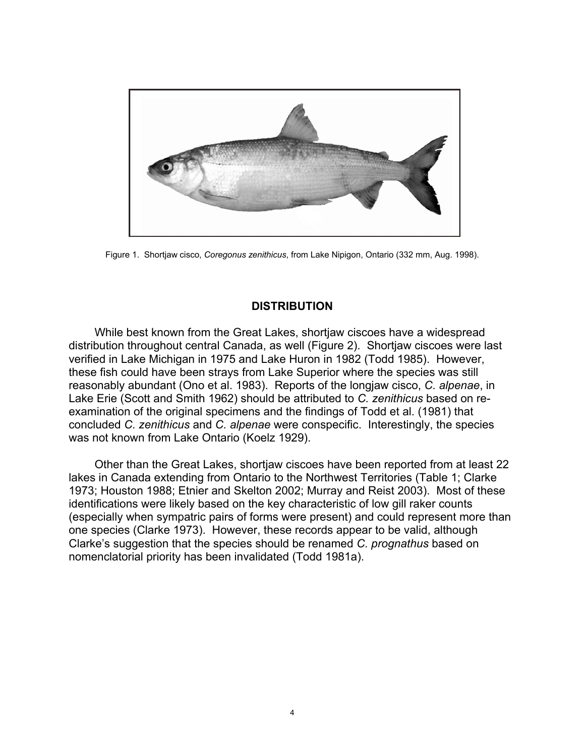

Figure 1. Shortjaw cisco, *Coregonus zenithicus*, from Lake Nipigon, Ontario (332 mm, Aug. 1998).

#### **DISTRIBUTION**

While best known from the Great Lakes, shortjaw ciscoes have a widespread distribution throughout central Canada, as well (Figure 2). Shortjaw ciscoes were last verified in Lake Michigan in 1975 and Lake Huron in 1982 (Todd 1985). However, these fish could have been strays from Lake Superior where the species was still reasonably abundant (Ono et al. 1983). Reports of the longjaw cisco, *C. alpenae*, in Lake Erie (Scott and Smith 1962) should be attributed to *C. zenithicus* based on reexamination of the original specimens and the findings of Todd et al. (1981) that concluded *C. zenithicus* and *C. alpenae* were conspecific. Interestingly, the species was not known from Lake Ontario (Koelz 1929).

Other than the Great Lakes, shortjaw ciscoes have been reported from at least 22 lakes in Canada extending from Ontario to the Northwest Territories (Table 1; Clarke 1973; Houston 1988; Etnier and Skelton 2002; Murray and Reist 2003). Most of these identifications were likely based on the key characteristic of low gill raker counts (especially when sympatric pairs of forms were present) and could represent more than one species (Clarke 1973). However, these records appear to be valid, although Clarke's suggestion that the species should be renamed *C. prognathus* based on nomenclatorial priority has been invalidated (Todd 1981a).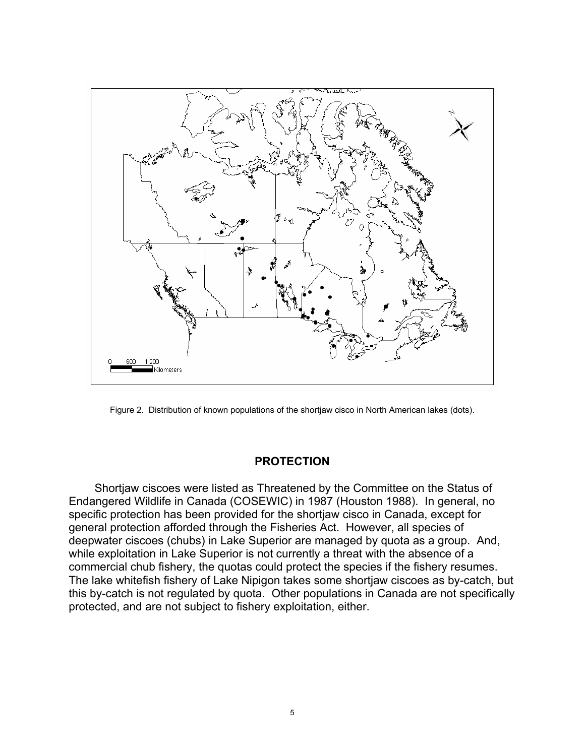

Figure 2. Distribution of known populations of the shortjaw cisco in North American lakes (dots).

#### **PROTECTION**

Shortjaw ciscoes were listed as Threatened by the Committee on the Status of Endangered Wildlife in Canada (COSEWIC) in 1987 (Houston 1988). In general, no specific protection has been provided for the shortjaw cisco in Canada, except for general protection afforded through the Fisheries Act. However, all species of deepwater ciscoes (chubs) in Lake Superior are managed by quota as a group. And, while exploitation in Lake Superior is not currently a threat with the absence of a commercial chub fishery, the quotas could protect the species if the fishery resumes. The lake whitefish fishery of Lake Nipigon takes some shortjaw ciscoes as by-catch, but this by-catch is not regulated by quota. Other populations in Canada are not specifically protected, and are not subject to fishery exploitation, either.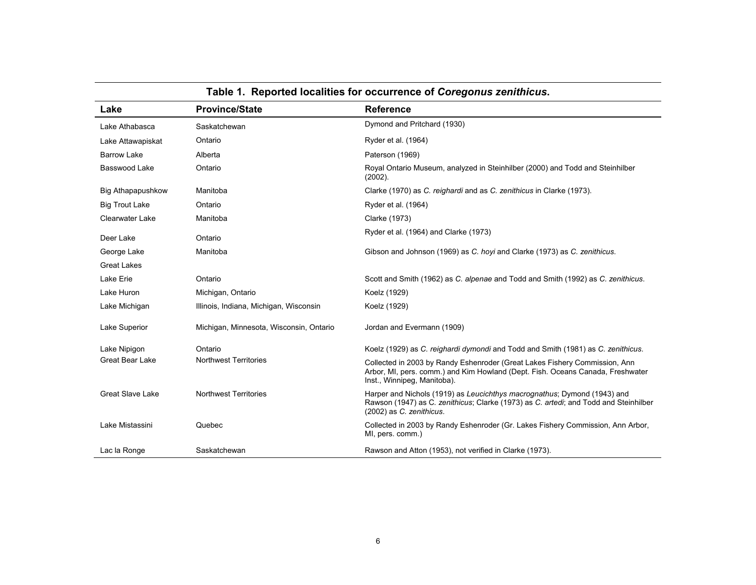| Lake                     | <b>Province/State</b>                   | <b>Reference</b>                                                                                                                                                                             |
|--------------------------|-----------------------------------------|----------------------------------------------------------------------------------------------------------------------------------------------------------------------------------------------|
| Lake Athabasca           | Saskatchewan                            | Dymond and Pritchard (1930)                                                                                                                                                                  |
| Lake Attawapiskat        | Ontario                                 | Ryder et al. (1964)                                                                                                                                                                          |
| <b>Barrow Lake</b>       | Alberta                                 | Paterson (1969)                                                                                                                                                                              |
| Basswood Lake            | Ontario                                 | Royal Ontario Museum, analyzed in Steinhilber (2000) and Todd and Steinhilber<br>$(2002)$ .                                                                                                  |
| <b>Big Athapapushkow</b> | Manitoba                                | Clarke (1970) as C. reighardi and as C. zenithicus in Clarke (1973).                                                                                                                         |
| <b>Big Trout Lake</b>    | Ontario                                 | Ryder et al. (1964)                                                                                                                                                                          |
| <b>Clearwater Lake</b>   | Manitoba                                | Clarke (1973)                                                                                                                                                                                |
| Deer Lake                | Ontario                                 | Ryder et al. (1964) and Clarke (1973)                                                                                                                                                        |
| George Lake              | Manitoba                                | Gibson and Johnson (1969) as C. hoyi and Clarke (1973) as C. zenithicus.                                                                                                                     |
| <b>Great Lakes</b>       |                                         |                                                                                                                                                                                              |
| Lake Erie                | Ontario                                 | Scott and Smith (1962) as C. alpenae and Todd and Smith (1992) as C. zenithicus.                                                                                                             |
| Lake Huron               | Michigan, Ontario                       | Koelz (1929)                                                                                                                                                                                 |
| Lake Michigan            | Illinois, Indiana, Michigan, Wisconsin  | Koelz (1929)                                                                                                                                                                                 |
| Lake Superior            | Michigan, Minnesota, Wisconsin, Ontario | Jordan and Evermann (1909)                                                                                                                                                                   |
| Lake Nipigon             | Ontario                                 | Koelz (1929) as C. reighardi dymondi and Todd and Smith (1981) as C. zenithicus.                                                                                                             |
| Great Bear Lake          | <b>Northwest Territories</b>            | Collected in 2003 by Randy Eshenroder (Great Lakes Fishery Commission, Ann<br>Arbor, MI, pers. comm.) and Kim Howland (Dept. Fish. Oceans Canada, Freshwater<br>Inst., Winnipeg, Manitoba).  |
| <b>Great Slave Lake</b>  | <b>Northwest Territories</b>            | Harper and Nichols (1919) as Leucichthys macrognathus; Dymond (1943) and<br>Rawson (1947) as C. zenithicus; Clarke (1973) as C. artedi; and Todd and Steinhilber<br>(2002) as C. zenithicus. |
| Lake Mistassini          | Quebec                                  | Collected in 2003 by Randy Eshenroder (Gr. Lakes Fishery Commission, Ann Arbor,<br>MI, pers. comm.)                                                                                          |
| Lac la Ronge             | Saskatchewan                            | Rawson and Atton (1953), not verified in Clarke (1973).                                                                                                                                      |

## **Table 1. Reported localities for occurrence of** *Coregonus zenithicus***.**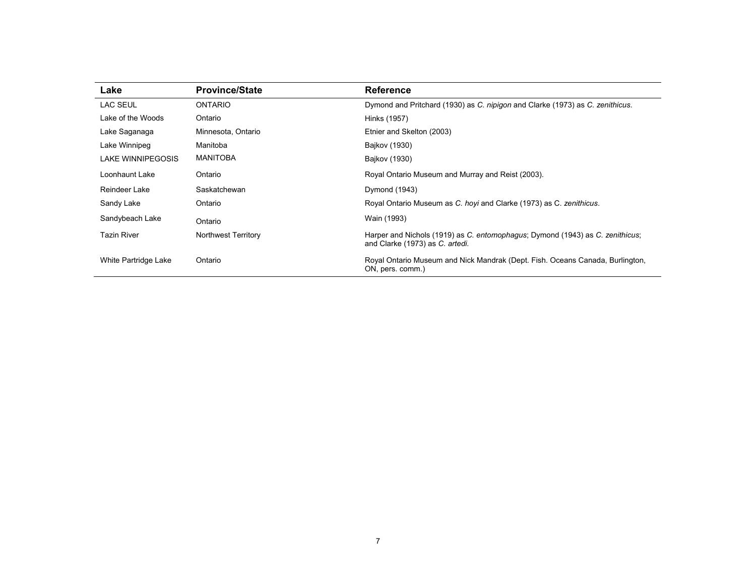| Lake                 | <b>Province/State</b> | <b>Reference</b>                                                                                                 |
|----------------------|-----------------------|------------------------------------------------------------------------------------------------------------------|
| LAC SEUL             | <b>ONTARIO</b>        | Dymond and Pritchard (1930) as C. nipigon and Clarke (1973) as C. zenithicus.                                    |
| Lake of the Woods    | Ontario               | Hinks (1957)                                                                                                     |
| Lake Saganaga        | Minnesota, Ontario    | Etnier and Skelton (2003)                                                                                        |
| Lake Winnipeg        | Manitoba              | Bajkov (1930)                                                                                                    |
| LAKE WINNIPEGOSIS    | <b>MANITOBA</b>       | Bajkov (1930)                                                                                                    |
| Loonhaunt Lake       | Ontario               | Royal Ontario Museum and Murray and Reist (2003).                                                                |
| Reindeer Lake        | Saskatchewan          | Dymond (1943)                                                                                                    |
| Sandy Lake           | Ontario               | Royal Ontario Museum as C. hoyi and Clarke (1973) as C. zenithicus.                                              |
| Sandybeach Lake      | Ontario               | Wain (1993)                                                                                                      |
| <b>Tazin River</b>   | Northwest Territory   | Harper and Nichols (1919) as C. entomophagus; Dymond (1943) as C. zenithicus;<br>and Clarke (1973) as C. artedi. |
| White Partridge Lake | Ontario               | Royal Ontario Museum and Nick Mandrak (Dept. Fish. Oceans Canada, Burlington,<br>ON, pers. comm.)                |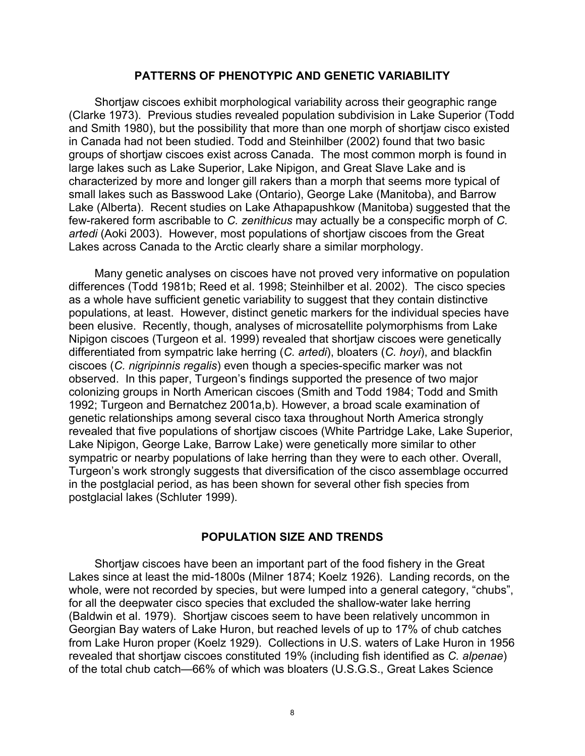#### **PATTERNS OF PHENOTYPIC AND GENETIC VARIABILITY**

Shortjaw ciscoes exhibit morphological variability across their geographic range (Clarke 1973). Previous studies revealed population subdivision in Lake Superior (Todd and Smith 1980), but the possibility that more than one morph of shortjaw cisco existed in Canada had not been studied. Todd and Steinhilber (2002) found that two basic groups of shortjaw ciscoes exist across Canada. The most common morph is found in large lakes such as Lake Superior, Lake Nipigon, and Great Slave Lake and is characterized by more and longer gill rakers than a morph that seems more typical of small lakes such as Basswood Lake (Ontario), George Lake (Manitoba), and Barrow Lake (Alberta). Recent studies on Lake Athapapushkow (Manitoba) suggested that the few-rakered form ascribable to *C. zenithicus* may actually be a conspecific morph of *C. artedi* (Aoki 2003). However, most populations of shortjaw ciscoes from the Great Lakes across Canada to the Arctic clearly share a similar morphology.

Many genetic analyses on ciscoes have not proved very informative on population differences (Todd 1981b; Reed et al. 1998; Steinhilber et al. 2002). The cisco species as a whole have sufficient genetic variability to suggest that they contain distinctive populations, at least. However, distinct genetic markers for the individual species have been elusive. Recently, though, analyses of microsatellite polymorphisms from Lake Nipigon ciscoes (Turgeon et al. 1999) revealed that shortjaw ciscoes were genetically differentiated from sympatric lake herring (*C. artedi*), bloaters (*C. hoyi*), and blackfin ciscoes (*C. nigripinnis regalis*) even though a species-specific marker was not observed. In this paper, Turgeon's findings supported the presence of two major colonizing groups in North American ciscoes (Smith and Todd 1984; Todd and Smith 1992; Turgeon and Bernatchez 2001a,b). However, a broad scale examination of genetic relationships among several cisco taxa throughout North America strongly revealed that five populations of shortjaw ciscoes (White Partridge Lake, Lake Superior, Lake Nipigon, George Lake, Barrow Lake) were genetically more similar to other sympatric or nearby populations of lake herring than they were to each other. Overall, Turgeon's work strongly suggests that diversification of the cisco assemblage occurred in the postglacial period, as has been shown for several other fish species from postglacial lakes (Schluter 1999).

#### **POPULATION SIZE AND TRENDS**

Shortjaw ciscoes have been an important part of the food fishery in the Great Lakes since at least the mid-1800s (Milner 1874; Koelz 1926). Landing records, on the whole, were not recorded by species, but were lumped into a general category, "chubs", for all the deepwater cisco species that excluded the shallow-water lake herring (Baldwin et al. 1979). Shortjaw ciscoes seem to have been relatively uncommon in Georgian Bay waters of Lake Huron, but reached levels of up to 17% of chub catches from Lake Huron proper (Koelz 1929). Collections in U.S. waters of Lake Huron in 1956 revealed that shortjaw ciscoes constituted 19% (including fish identified as *C. alpenae*) of the total chub catch—66% of which was bloaters (U.S.G.S., Great Lakes Science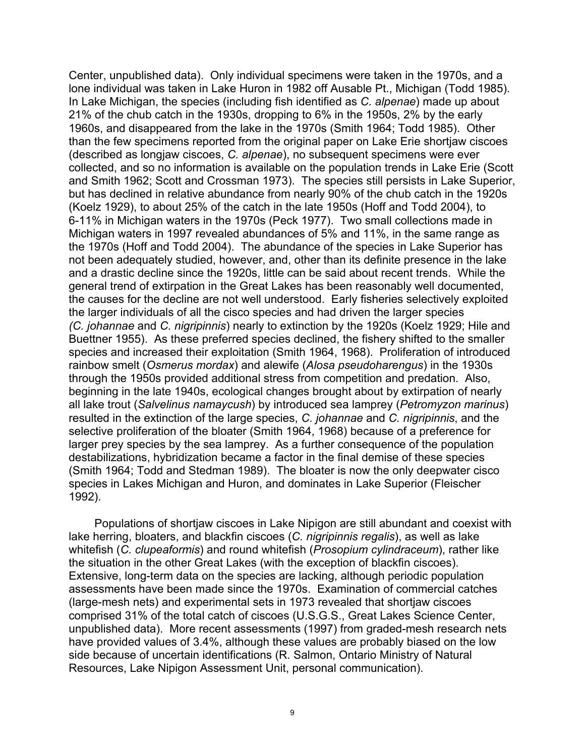Center, unpublished data). Only individual specimens were taken in the 1970s, and a lone individual was taken in Lake Huron in 1982 off Ausable Pt., Michigan (Todd 1985). In Lake Michigan, the species (including fish identified as *C. alpenae*) made up about 21% of the chub catch in the 1930s, dropping to 6% in the 1950s, 2% by the early 1960s, and disappeared from the lake in the 1970s (Smith 1964; Todd 1985). Other than the few specimens reported from the original paper on Lake Erie shortjaw ciscoes (described as longjaw ciscoes, *C. alpenae*), no subsequent specimens were ever collected, and so no information is available on the population trends in Lake Erie (Scott and Smith 1962; Scott and Crossman 1973). The species still persists in Lake Superior, but has declined in relative abundance from nearly 90% of the chub catch in the 1920s (Koelz 1929), to about 25% of the catch in the late 1950s (Hoff and Todd 2004), to 6-11% in Michigan waters in the 1970s (Peck 1977). Two small collections made in Michigan waters in 1997 revealed abundances of 5% and 11%, in the same range as the 1970s (Hoff and Todd 2004). The abundance of the species in Lake Superior has not been adequately studied, however, and, other than its definite presence in the lake and a drastic decline since the 1920s, little can be said about recent trends. While the general trend of extirpation in the Great Lakes has been reasonably well documented, the causes for the decline are not well understood. Early fisheries selectively exploited the larger individuals of all the cisco species and had driven the larger species *(C. johannae* and *C. nigripinnis*) nearly to extinction by the 1920s (Koelz 1929; Hile and Buettner 1955). As these preferred species declined, the fishery shifted to the smaller species and increased their exploitation (Smith 1964, 1968). Proliferation of introduced rainbow smelt (*Osmerus mordax*) and alewife (*Alosa pseudoharengus*) in the 1930s through the 1950s provided additional stress from competition and predation. Also, beginning in the late 1940s, ecological changes brought about by extirpation of nearly all lake trout (*Salvelinus namaycush*) by introduced sea lamprey (*Petromyzon marinus*) resulted in the extinction of the large species, *C. johannae* and *C. nigripinnis*, and the selective proliferation of the bloater (Smith 1964, 1968) because of a preference for larger prey species by the sea lamprey. As a further consequence of the population destabilizations, hybridization became a factor in the final demise of these species (Smith 1964; Todd and Stedman 1989). The bloater is now the only deepwater cisco species in Lakes Michigan and Huron, and dominates in Lake Superior (Fleischer 1992).

Populations of shortjaw ciscoes in Lake Nipigon are still abundant and coexist with lake herring, bloaters, and blackfin ciscoes (*C. nigripinnis regalis*), as well as lake whitefish (*C. clupeaformis*) and round whitefish (*Prosopium cylindraceum*), rather like the situation in the other Great Lakes (with the exception of blackfin ciscoes). Extensive, long-term data on the species are lacking, although periodic population assessments have been made since the 1970s. Examination of commercial catches (large-mesh nets) and experimental sets in 1973 revealed that shortjaw ciscoes comprised 31% of the total catch of ciscoes (U.S.G.S., Great Lakes Science Center, unpublished data). More recent assessments (1997) from graded-mesh research nets have provided values of 3.4%, although these values are probably biased on the low side because of uncertain identifications (R. Salmon, Ontario Ministry of Natural Resources, Lake Nipigon Assessment Unit, personal communication).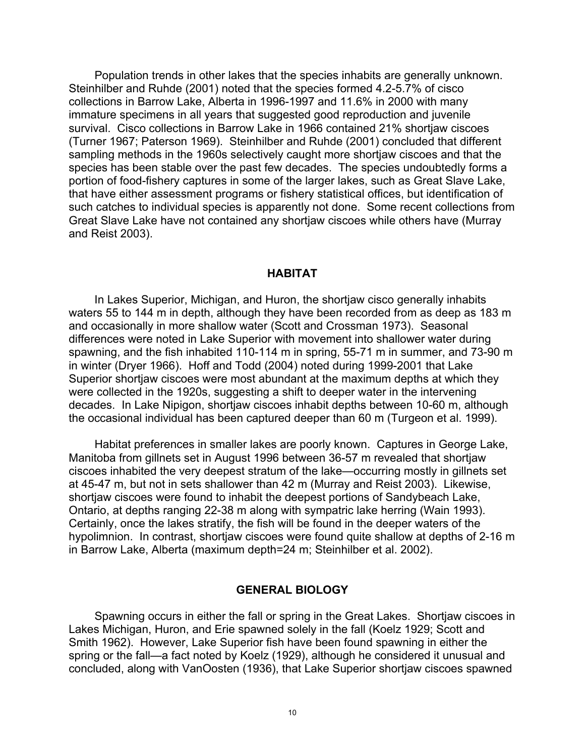Population trends in other lakes that the species inhabits are generally unknown. Steinhilber and Ruhde (2001) noted that the species formed 4.2-5.7% of cisco collections in Barrow Lake, Alberta in 1996-1997 and 11.6% in 2000 with many immature specimens in all years that suggested good reproduction and juvenile survival. Cisco collections in Barrow Lake in 1966 contained 21% shortjaw ciscoes (Turner 1967; Paterson 1969). Steinhilber and Ruhde (2001) concluded that different sampling methods in the 1960s selectively caught more shortjaw ciscoes and that the species has been stable over the past few decades. The species undoubtedly forms a portion of food-fishery captures in some of the larger lakes, such as Great Slave Lake, that have either assessment programs or fishery statistical offices, but identification of such catches to individual species is apparently not done. Some recent collections from Great Slave Lake have not contained any shortjaw ciscoes while others have (Murray and Reist 2003).

#### **HABITAT**

In Lakes Superior, Michigan, and Huron, the shortjaw cisco generally inhabits waters 55 to 144 m in depth, although they have been recorded from as deep as 183 m and occasionally in more shallow water (Scott and Crossman 1973). Seasonal differences were noted in Lake Superior with movement into shallower water during spawning, and the fish inhabited 110-114 m in spring, 55-71 m in summer, and 73-90 m in winter (Dryer 1966). Hoff and Todd (2004) noted during 1999-2001 that Lake Superior shortjaw ciscoes were most abundant at the maximum depths at which they were collected in the 1920s, suggesting a shift to deeper water in the intervening decades. In Lake Nipigon, shortjaw ciscoes inhabit depths between 10-60 m, although the occasional individual has been captured deeper than 60 m (Turgeon et al. 1999).

Habitat preferences in smaller lakes are poorly known. Captures in George Lake, Manitoba from gillnets set in August 1996 between 36-57 m revealed that shortjaw ciscoes inhabited the very deepest stratum of the lake—occurring mostly in gillnets set at 45-47 m, but not in sets shallower than 42 m (Murray and Reist 2003). Likewise, shortjaw ciscoes were found to inhabit the deepest portions of Sandybeach Lake, Ontario, at depths ranging 22-38 m along with sympatric lake herring (Wain 1993). Certainly, once the lakes stratify, the fish will be found in the deeper waters of the hypolimnion. In contrast, shortjaw ciscoes were found quite shallow at depths of 2-16 m in Barrow Lake, Alberta (maximum depth=24 m; Steinhilber et al. 2002).

#### **GENERAL BIOLOGY**

Spawning occurs in either the fall or spring in the Great Lakes. Shortjaw ciscoes in Lakes Michigan, Huron, and Erie spawned solely in the fall (Koelz 1929; Scott and Smith 1962). However, Lake Superior fish have been found spawning in either the spring or the fall—a fact noted by Koelz (1929), although he considered it unusual and concluded, along with VanOosten (1936), that Lake Superior shortjaw ciscoes spawned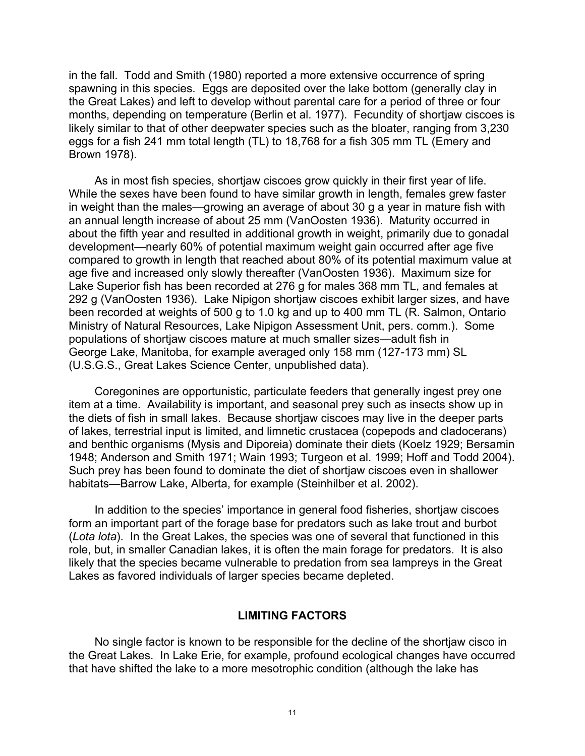in the fall. Todd and Smith (1980) reported a more extensive occurrence of spring spawning in this species. Eggs are deposited over the lake bottom (generally clay in the Great Lakes) and left to develop without parental care for a period of three or four months, depending on temperature (Berlin et al. 1977). Fecundity of shortjaw ciscoes is likely similar to that of other deepwater species such as the bloater, ranging from 3,230 eggs for a fish 241 mm total length (TL) to 18,768 for a fish 305 mm TL (Emery and Brown 1978).

As in most fish species, shortjaw ciscoes grow quickly in their first year of life. While the sexes have been found to have similar growth in length, females grew faster in weight than the males—growing an average of about 30 g a year in mature fish with an annual length increase of about 25 mm (VanOosten 1936). Maturity occurred in about the fifth year and resulted in additional growth in weight, primarily due to gonadal development—nearly 60% of potential maximum weight gain occurred after age five compared to growth in length that reached about 80% of its potential maximum value at age five and increased only slowly thereafter (VanOosten 1936). Maximum size for Lake Superior fish has been recorded at 276 g for males 368 mm TL, and females at 292 g (VanOosten 1936). Lake Nipigon shortjaw ciscoes exhibit larger sizes, and have been recorded at weights of 500 g to 1.0 kg and up to 400 mm TL (R. Salmon, Ontario Ministry of Natural Resources, Lake Nipigon Assessment Unit, pers. comm.). Some populations of shortjaw ciscoes mature at much smaller sizes—adult fish in George Lake, Manitoba, for example averaged only 158 mm (127-173 mm) SL (U.S.G.S., Great Lakes Science Center, unpublished data).

Coregonines are opportunistic, particulate feeders that generally ingest prey one item at a time. Availability is important, and seasonal prey such as insects show up in the diets of fish in small lakes. Because shortjaw ciscoes may live in the deeper parts of lakes, terrestrial input is limited, and limnetic crustacea (copepods and cladocerans) and benthic organisms (Mysis and Diporeia) dominate their diets (Koelz 1929; Bersamin 1948; Anderson and Smith 1971; Wain 1993; Turgeon et al. 1999; Hoff and Todd 2004). Such prey has been found to dominate the diet of shortjaw ciscoes even in shallower habitats—Barrow Lake, Alberta, for example (Steinhilber et al. 2002).

In addition to the species' importance in general food fisheries, shortjaw ciscoes form an important part of the forage base for predators such as lake trout and burbot (*Lota lota*). In the Great Lakes, the species was one of several that functioned in this role, but, in smaller Canadian lakes, it is often the main forage for predators. It is also likely that the species became vulnerable to predation from sea lampreys in the Great Lakes as favored individuals of larger species became depleted.

#### **LIMITING FACTORS**

No single factor is known to be responsible for the decline of the shortjaw cisco in the Great Lakes. In Lake Erie, for example, profound ecological changes have occurred that have shifted the lake to a more mesotrophic condition (although the lake has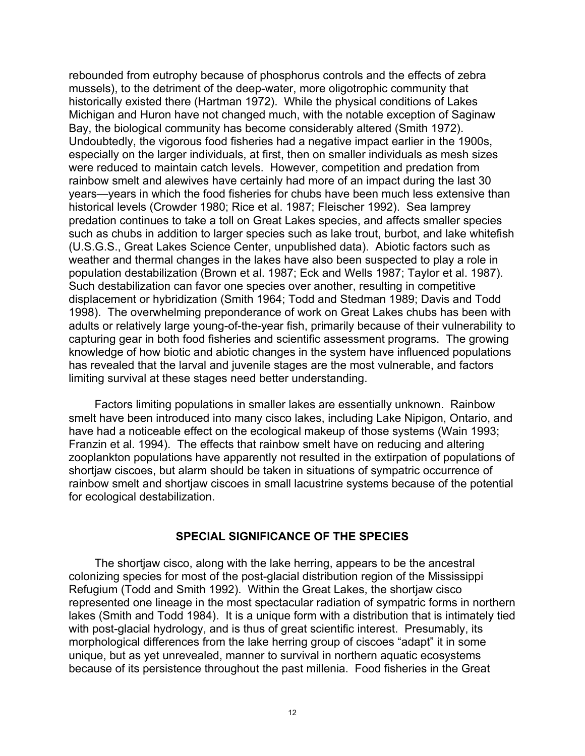rebounded from eutrophy because of phosphorus controls and the effects of zebra mussels), to the detriment of the deep-water, more oligotrophic community that historically existed there (Hartman 1972). While the physical conditions of Lakes Michigan and Huron have not changed much, with the notable exception of Saginaw Bay, the biological community has become considerably altered (Smith 1972). Undoubtedly, the vigorous food fisheries had a negative impact earlier in the 1900s, especially on the larger individuals, at first, then on smaller individuals as mesh sizes were reduced to maintain catch levels. However, competition and predation from rainbow smelt and alewives have certainly had more of an impact during the last 30 years—years in which the food fisheries for chubs have been much less extensive than historical levels (Crowder 1980; Rice et al. 1987; Fleischer 1992). Sea lamprey predation continues to take a toll on Great Lakes species, and affects smaller species such as chubs in addition to larger species such as lake trout, burbot, and lake whitefish (U.S.G.S., Great Lakes Science Center, unpublished data). Abiotic factors such as weather and thermal changes in the lakes have also been suspected to play a role in population destabilization (Brown et al. 1987; Eck and Wells 1987; Taylor et al. 1987). Such destabilization can favor one species over another, resulting in competitive displacement or hybridization (Smith 1964; Todd and Stedman 1989; Davis and Todd 1998). The overwhelming preponderance of work on Great Lakes chubs has been with adults or relatively large young-of-the-year fish, primarily because of their vulnerability to capturing gear in both food fisheries and scientific assessment programs. The growing knowledge of how biotic and abiotic changes in the system have influenced populations has revealed that the larval and juvenile stages are the most vulnerable, and factors limiting survival at these stages need better understanding.

Factors limiting populations in smaller lakes are essentially unknown. Rainbow smelt have been introduced into many cisco lakes, including Lake Nipigon, Ontario, and have had a noticeable effect on the ecological makeup of those systems (Wain 1993; Franzin et al. 1994). The effects that rainbow smelt have on reducing and altering zooplankton populations have apparently not resulted in the extirpation of populations of shortjaw ciscoes, but alarm should be taken in situations of sympatric occurrence of rainbow smelt and shortjaw ciscoes in small lacustrine systems because of the potential for ecological destabilization.

#### **SPECIAL SIGNIFICANCE OF THE SPECIES**

The shortjaw cisco, along with the lake herring, appears to be the ancestral colonizing species for most of the post-glacial distribution region of the Mississippi Refugium (Todd and Smith 1992). Within the Great Lakes, the shortjaw cisco represented one lineage in the most spectacular radiation of sympatric forms in northern lakes (Smith and Todd 1984). It is a unique form with a distribution that is intimately tied with post-glacial hydrology, and is thus of great scientific interest. Presumably, its morphological differences from the lake herring group of ciscoes "adapt" it in some unique, but as yet unrevealed, manner to survival in northern aquatic ecosystems because of its persistence throughout the past millenia. Food fisheries in the Great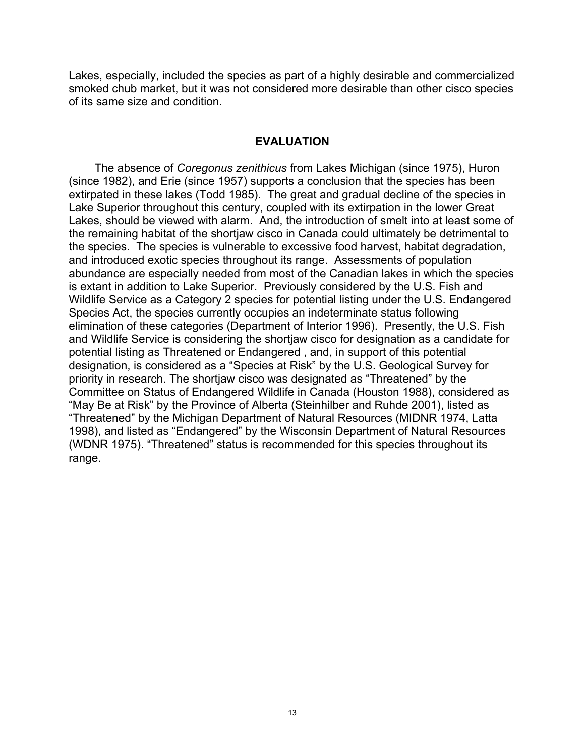Lakes, especially, included the species as part of a highly desirable and commercialized smoked chub market, but it was not considered more desirable than other cisco species of its same size and condition.

#### **EVALUATION**

The absence of *Coregonus zenithicus* from Lakes Michigan (since 1975), Huron (since 1982), and Erie (since 1957) supports a conclusion that the species has been extirpated in these lakes (Todd 1985). The great and gradual decline of the species in Lake Superior throughout this century, coupled with its extirpation in the lower Great Lakes, should be viewed with alarm. And, the introduction of smelt into at least some of the remaining habitat of the shortjaw cisco in Canada could ultimately be detrimental to the species. The species is vulnerable to excessive food harvest, habitat degradation, and introduced exotic species throughout its range. Assessments of population abundance are especially needed from most of the Canadian lakes in which the species is extant in addition to Lake Superior. Previously considered by the U.S. Fish and Wildlife Service as a Category 2 species for potential listing under the U.S. Endangered Species Act, the species currently occupies an indeterminate status following elimination of these categories (Department of Interior 1996). Presently, the U.S. Fish and Wildlife Service is considering the shortjaw cisco for designation as a candidate for potential listing as Threatened or Endangered , and, in support of this potential designation, is considered as a "Species at Risk" by the U.S. Geological Survey for priority in research. The shortjaw cisco was designated as "Threatened" by the Committee on Status of Endangered Wildlife in Canada (Houston 1988), considered as "May Be at Risk" by the Province of Alberta (Steinhilber and Ruhde 2001), listed as "Threatened" by the Michigan Department of Natural Resources (MIDNR 1974, Latta 1998), and listed as "Endangered" by the Wisconsin Department of Natural Resources (WDNR 1975). "Threatened" status is recommended for this species throughout its range.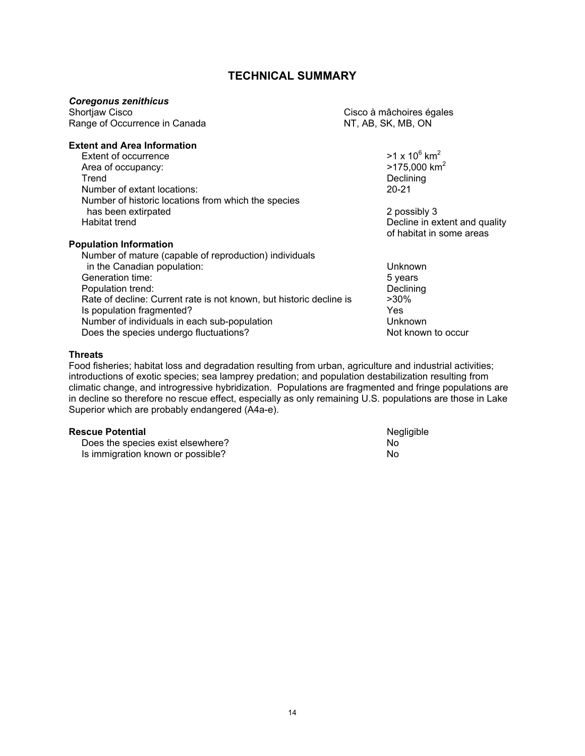#### **TECHNICAL SUMMARY**

# *Coregonus zenithicus*

Range of Occurrence in Canada NT, AB, SK, MB, ON

Cisco à mâchoires égales

#### **Extent and Area Information**

Extent of occurrence  $>1 \times 10^6$  km<sup>2</sup><br>Area of occupancy:  $>175.000$  km<sup>2</sup> Area of occupancy:<br>Trend Number of extant locations: 20-21 Number of historic locations from which the species has been extirpated **2** possibly 3 Habitat trend **Decline in extent and quality Decline in extent and quality** 

Number of mature (capable of reproduction) individuals

 $>1 \times 10^6$  km<sup>2</sup> Declining

of habitat in some areas

in the Canadian population: Unknown

#### Generation time: 5 years

**Population Information** 

Population trend: Declining<br>Rate of decline: Current rate is not known. but historic decline is  $>30\%$ Rate of decline: Current rate is not known, but historic decline is Is population fragmented? Yes Number of individuals in each sub-population example of the Unknown Does the species undergo fluctuations? Not known to occur

#### **Threats**

Food fisheries; habitat loss and degradation resulting from urban, agriculture and industrial activities; introductions of exotic species; sea lamprey predation; and population destabilization resulting from climatic change, and introgressive hybridization. Populations are fragmented and fringe populations are in decline so therefore no rescue effect, especially as only remaining U.S. populations are those in Lake Superior which are probably endangered (A4a-e).

**Rescue Potential** Negligible<br>
Does the species exist elsewhere? No No Does the species exist elsewhere? Is immigration known or possible? No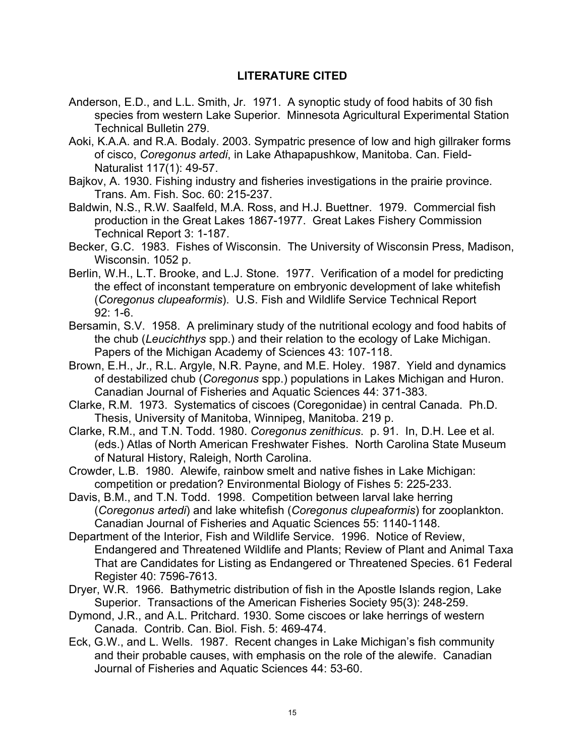### **LITERATURE CITED**

- Anderson, E.D., and L.L. Smith, Jr. 1971. A synoptic study of food habits of 30 fish species from western Lake Superior. Minnesota Agricultural Experimental Station Technical Bulletin 279.
- Aoki, K.A.A. and R.A. Bodaly. 2003. Sympatric presence of low and high gillraker forms of cisco, *Coregonus artedi*, in Lake Athapapushkow, Manitoba. Can. Field-Naturalist 117(1): 49-57.
- Bajkov, A. 1930. Fishing industry and fisheries investigations in the prairie province. Trans. Am. Fish. Soc. 60: 215-237.
- Baldwin, N.S., R.W. Saalfeld, M.A. Ross, and H.J. Buettner. 1979. Commercial fish production in the Great Lakes 1867-1977. Great Lakes Fishery Commission Technical Report 3: 1-187.

Becker, G.C. 1983. Fishes of Wisconsin. The University of Wisconsin Press, Madison, Wisconsin. 1052 p.

- Berlin, W.H., L.T. Brooke, and L.J. Stone. 1977. Verification of a model for predicting the effect of inconstant temperature on embryonic development of lake whitefish (*Coregonus clupeaformis*). U.S. Fish and Wildlife Service Technical Report 92: 1-6.
- Bersamin, S.V. 1958. A preliminary study of the nutritional ecology and food habits of the chub (*Leucichthys* spp.) and their relation to the ecology of Lake Michigan. Papers of the Michigan Academy of Sciences 43: 107-118.
- Brown, E.H., Jr., R.L. Argyle, N.R. Payne, and M.E. Holey. 1987. Yield and dynamics of destabilized chub (*Coregonus* spp.) populations in Lakes Michigan and Huron. Canadian Journal of Fisheries and Aquatic Sciences 44: 371-383.
- Clarke, R.M. 1973. Systematics of ciscoes (Coregonidae) in central Canada. Ph.D. Thesis, University of Manitoba, Winnipeg, Manitoba. 219 p.

Clarke, R.M., and T.N. Todd. 1980. *Coregonus zenithicus*. p. 91. In, D.H. Lee et al. (eds.) Atlas of North American Freshwater Fishes. North Carolina State Museum of Natural History, Raleigh, North Carolina.

Crowder, L.B. 1980. Alewife, rainbow smelt and native fishes in Lake Michigan: competition or predation? Environmental Biology of Fishes 5: 225-233.

Davis, B.M., and T.N. Todd. 1998. Competition between larval lake herring (*Coregonus artedi*) and lake whitefish (*Coregonus clupeaformis*) for zooplankton. Canadian Journal of Fisheries and Aquatic Sciences 55: 1140-1148.

Department of the Interior, Fish and Wildlife Service. 1996. Notice of Review, Endangered and Threatened Wildlife and Plants; Review of Plant and Animal Taxa That are Candidates for Listing as Endangered or Threatened Species. 61 Federal Register 40: 7596-7613.

- Dryer, W.R. 1966. Bathymetric distribution of fish in the Apostle Islands region, Lake Superior. Transactions of the American Fisheries Society 95(3): 248-259.
- Dymond, J.R., and A.L. Pritchard. 1930. Some ciscoes or lake herrings of western Canada. Contrib. Can. Biol. Fish. 5: 469-474.
- Eck, G.W., and L. Wells. 1987. Recent changes in Lake Michigan's fish community and their probable causes, with emphasis on the role of the alewife. Canadian Journal of Fisheries and Aquatic Sciences 44: 53-60.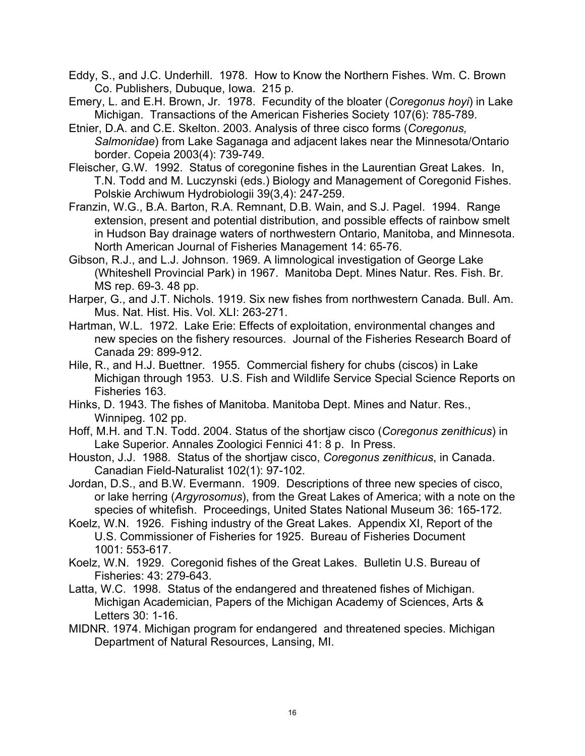Eddy, S., and J.C. Underhill. 1978. How to Know the Northern Fishes. Wm. C. Brown Co. Publishers, Dubuque, Iowa. 215 p.

Emery, L. and E.H. Brown, Jr. 1978. Fecundity of the bloater (*Coregonus hoyi*) in Lake Michigan. Transactions of the American Fisheries Society 107(6): 785-789.

- Etnier, D.A. and C.E. Skelton. 2003. Analysis of three cisco forms (*Coregonus, Salmonidae*) from Lake Saganaga and adjacent lakes near the Minnesota/Ontario border. Copeia 2003(4): 739-749.
- Fleischer, G.W. 1992. Status of coregonine fishes in the Laurentian Great Lakes. In, T.N. Todd and M. Luczynski (eds.) Biology and Management of Coregonid Fishes. Polskie Archiwum Hydrobiologii 39(3,4): 247-259.
- Franzin, W.G., B.A. Barton, R.A. Remnant, D.B. Wain, and S.J. Pagel. 1994. Range extension, present and potential distribution, and possible effects of rainbow smelt in Hudson Bay drainage waters of northwestern Ontario, Manitoba, and Minnesota. North American Journal of Fisheries Management 14: 65-76.
- Gibson, R.J., and L.J. Johnson. 1969. A limnological investigation of George Lake (Whiteshell Provincial Park) in 1967. Manitoba Dept. Mines Natur. Res. Fish. Br. MS rep. 69-3. 48 pp.
- Harper, G., and J.T. Nichols. 1919. Six new fishes from northwestern Canada. Bull. Am. Mus. Nat. Hist. His. Vol. XLI: 263-271.
- Hartman, W.L. 1972. Lake Erie: Effects of exploitation, environmental changes and new species on the fishery resources. Journal of the Fisheries Research Board of Canada 29: 899-912.
- Hile, R., and H.J. Buettner. 1955. Commercial fishery for chubs (ciscos) in Lake Michigan through 1953. U.S. Fish and Wildlife Service Special Science Reports on Fisheries 163.
- Hinks, D. 1943. The fishes of Manitoba. Manitoba Dept. Mines and Natur. Res., Winnipeg. 102 pp.
- Hoff, M.H. and T.N. Todd. 2004. Status of the shortjaw cisco (*Coregonus zenithicus*) in Lake Superior. Annales Zoologici Fennici 41: 8 p. In Press.
- Houston, J.J. 1988. Status of the shortjaw cisco, *Coregonus zenithicus*, in Canada. Canadian Field-Naturalist 102(1): 97-102.
- Jordan, D.S., and B.W. Evermann. 1909. Descriptions of three new species of cisco, or lake herring (*Argyrosomus*), from the Great Lakes of America; with a note on the species of whitefish. Proceedings, United States National Museum 36: 165-172.
- Koelz, W.N. 1926. Fishing industry of the Great Lakes. Appendix XI, Report of the U.S. Commissioner of Fisheries for 1925. Bureau of Fisheries Document 1001: 553-617.
- Koelz, W.N. 1929. Coregonid fishes of the Great Lakes. Bulletin U.S. Bureau of Fisheries: 43: 279-643.
- Latta, W.C. 1998. Status of the endangered and threatened fishes of Michigan. Michigan Academician, Papers of the Michigan Academy of Sciences, Arts & Letters 30: 1-16.
- MIDNR. 1974. Michigan program for endangered and threatened species. Michigan Department of Natural Resources, Lansing, MI.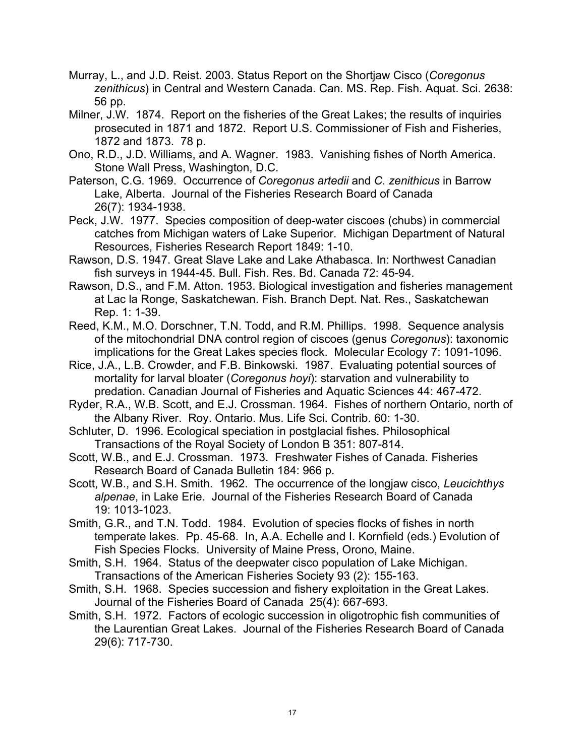- Murray, L., and J.D. Reist. 2003. Status Report on the Shortjaw Cisco (*Coregonus zenithicus*) in Central and Western Canada. Can. MS. Rep. Fish. Aquat. Sci. 2638: 56 pp.
- Milner, J.W. 1874. Report on the fisheries of the Great Lakes; the results of inquiries prosecuted in 1871 and 1872. Report U.S. Commissioner of Fish and Fisheries, 1872 and 1873. 78 p.
- Ono, R.D., J.D. Williams, and A. Wagner. 1983. Vanishing fishes of North America. Stone Wall Press, Washington, D.C.
- Paterson, C.G. 1969. Occurrence of *Coregonus artedii* and *C. zenithicus* in Barrow Lake, Alberta. Journal of the Fisheries Research Board of Canada 26(7): 1934-1938.
- Peck, J.W. 1977. Species composition of deep-water ciscoes (chubs) in commercial catches from Michigan waters of Lake Superior. Michigan Department of Natural Resources, Fisheries Research Report 1849: 1-10.
- Rawson, D.S. 1947. Great Slave Lake and Lake Athabasca. In: Northwest Canadian fish surveys in 1944-45. Bull. Fish. Res. Bd. Canada 72: 45-94.
- Rawson, D.S., and F.M. Atton. 1953. Biological investigation and fisheries management at Lac la Ronge, Saskatchewan. Fish. Branch Dept. Nat. Res., Saskatchewan Rep. 1: 1-39.
- Reed, K.M., M.O. Dorschner, T.N. Todd, and R.M. Phillips. 1998. Sequence analysis of the mitochondrial DNA control region of ciscoes (genus *Coregonus*): taxonomic implications for the Great Lakes species flock. Molecular Ecology 7: 1091-1096.
- Rice, J.A., L.B. Crowder, and F.B. Binkowski. 1987. Evaluating potential sources of mortality for larval bloater (*Coregonus hoyi*): starvation and vulnerability to predation. Canadian Journal of Fisheries and Aquatic Sciences 44: 467-472.
- Ryder, R.A., W.B. Scott, and E.J. Crossman. 1964. Fishes of northern Ontario, north of the Albany River. Roy. Ontario. Mus. Life Sci. Contrib. 60: 1-30.
- Schluter, D. 1996. Ecological speciation in postglacial fishes. Philosophical Transactions of the Royal Society of London B 351: 807-814.
- Scott, W.B., and E.J. Crossman. 1973. Freshwater Fishes of Canada. Fisheries Research Board of Canada Bulletin 184: 966 p.
- Scott, W.B., and S.H. Smith. 1962. The occurrence of the longjaw cisco, *Leucichthys alpenae*, in Lake Erie. Journal of the Fisheries Research Board of Canada 19: 1013-1023.
- Smith, G.R., and T.N. Todd. 1984. Evolution of species flocks of fishes in north temperate lakes. Pp. 45-68. In, A.A. Echelle and I. Kornfield (eds.) Evolution of Fish Species Flocks. University of Maine Press, Orono, Maine.
- Smith, S.H. 1964. Status of the deepwater cisco population of Lake Michigan. Transactions of the American Fisheries Society 93 (2): 155-163.
- Smith, S.H. 1968. Species succession and fishery exploitation in the Great Lakes. Journal of the Fisheries Board of Canada 25(4): 667-693.
- Smith, S.H. 1972. Factors of ecologic succession in oligotrophic fish communities of the Laurentian Great Lakes. Journal of the Fisheries Research Board of Canada 29(6): 717-730.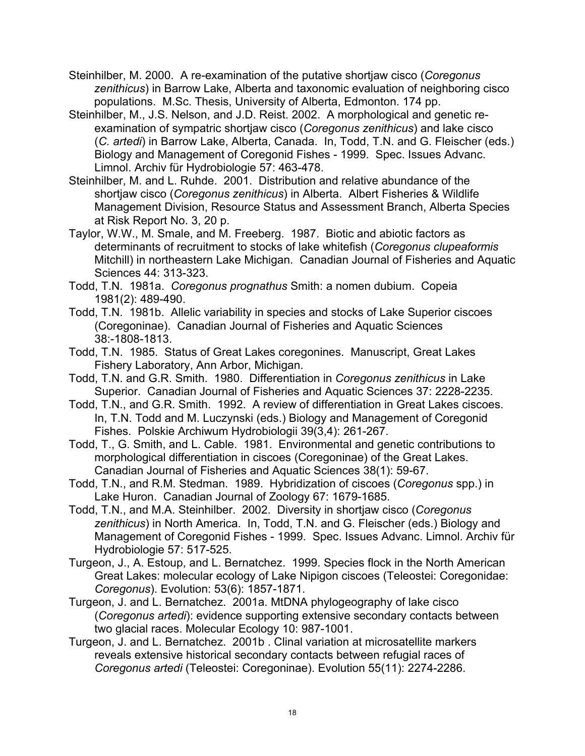- Steinhilber, M. 2000. A re-examination of the putative shortjaw cisco (*Coregonus zenithicus*) in Barrow Lake, Alberta and taxonomic evaluation of neighboring cisco populations. M.Sc. Thesis, University of Alberta, Edmonton. 174 pp.
- Steinhilber, M., J.S. Nelson, and J.D. Reist. 2002. A morphological and genetic reexamination of sympatric shortjaw cisco (*Coregonus zenithicus*) and lake cisco (*C. artedi*) in Barrow Lake, Alberta, Canada. In, Todd, T.N. and G. Fleischer (eds.) Biology and Management of Coregonid Fishes - 1999. Spec. Issues Advanc. Limnol. Archiv für Hydrobiologie 57: 463-478.
- Steinhilber, M. and L. Ruhde. 2001. Distribution and relative abundance of the shortjaw cisco (*Coregonus zenithicus*) in Alberta. Albert Fisheries & Wildlife Management Division, Resource Status and Assessment Branch, Alberta Species at Risk Report No. 3, 20 p.
- Taylor, W.W., M. Smale, and M. Freeberg. 1987. Biotic and abiotic factors as determinants of recruitment to stocks of lake whitefish (*Coregonus clupeaformis* Mitchill) in northeastern Lake Michigan. Canadian Journal of Fisheries and Aquatic Sciences 44: 313-323.
- Todd, T.N. 1981a. *Coregonus prognathus* Smith: a nomen dubium. Copeia 1981(2): 489-490.
- Todd, T.N. 1981b. Allelic variability in species and stocks of Lake Superior ciscoes (Coregoninae). Canadian Journal of Fisheries and Aquatic Sciences 38:-1808-1813.
- Todd, T.N. 1985. Status of Great Lakes coregonines. Manuscript, Great Lakes Fishery Laboratory, Ann Arbor, Michigan.
- Todd, T.N. and G.R. Smith. 1980. Differentiation in *Coregonus zenithicus* in Lake Superior. Canadian Journal of Fisheries and Aquatic Sciences 37: 2228-2235.
- Todd, T.N., and G.R. Smith. 1992. A review of differentiation in Great Lakes ciscoes. In, T.N. Todd and M. Luczynski (eds.) Biology and Management of Coregonid Fishes. Polskie Archiwum Hydrobiologii 39(3,4): 261-267.
- Todd, T., G. Smith, and L. Cable. 1981. Environmental and genetic contributions to morphological differentiation in ciscoes (Coregoninae) of the Great Lakes. Canadian Journal of Fisheries and Aquatic Sciences 38(1): 59-67.
- Todd, T.N., and R.M. Stedman. 1989. Hybridization of ciscoes (*Coregonus* spp.) in Lake Huron. Canadian Journal of Zoology 67: 1679-1685.
- Todd, T.N., and M.A. Steinhilber. 2002. Diversity in shortjaw cisco (*Coregonus zenithicus*) in North America. In, Todd, T.N. and G. Fleischer (eds.) Biology and Management of Coregonid Fishes - 1999. Spec. Issues Advanc. Limnol. Archiv für Hydrobiologie 57: 517-525.
- Turgeon, J., A. Estoup, and L. Bernatchez. 1999. Species flock in the North American Great Lakes: molecular ecology of Lake Nipigon ciscoes (Teleostei: Coregonidae: *Coregonus*). Evolution: 53(6): 1857-1871.
- Turgeon, J. and L. Bernatchez. 2001a. MtDNA phylogeography of lake cisco (*Coregonus artedi*): evidence supporting extensive secondary contacts between two glacial races. Molecular Ecology 10: 987-1001.
- Turgeon, J. and L. Bernatchez. 2001b . Clinal variation at microsatellite markers reveals extensive historical secondary contacts between refugial races of *Coregonus artedi* (Teleostei: Coregoninae). Evolution 55(11): 2274-2286.